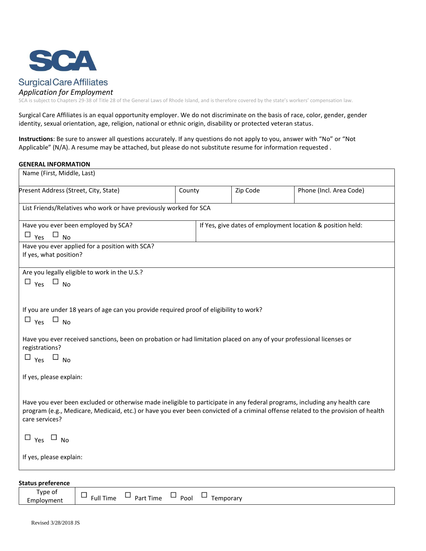

# **Surgical Care Affiliates**

### *Application for Employment*

SCA is subject to Chapters 29-38 of Title 28 of the General Laws of Rhode Island, and is therefore covered by the state's workers' compensation law.

Surgical Care Affiliates is an equal opportunity employer. We do not discriminate on the basis of race, color, gender, gender identity, sexual orientation, age, religion, national or ethnic origin, disability or protected veteran status.

**Instructions**: Be sure to answer all questions accurately. If any questions do not apply to you, answer with "No" or "Not Applicable" (N/A). A resume may be attached, but please do not substitute resume for information requested .

### **GENERAL INFORMATION**

| Present Address (Street, City, State)                                                                                             | County |          | Zip Code                                                   | Phone (Incl. Area Code) |  |
|-----------------------------------------------------------------------------------------------------------------------------------|--------|----------|------------------------------------------------------------|-------------------------|--|
|                                                                                                                                   |        |          |                                                            |                         |  |
| List Friends/Relatives who work or have previously worked for SCA                                                                 |        |          |                                                            |                         |  |
| Have you ever been employed by SCA?                                                                                               |        |          | If Yes, give dates of employment location & position held: |                         |  |
| $\Box$ Yes $\Box$ No                                                                                                              |        |          |                                                            |                         |  |
| Have you ever applied for a position with SCA?<br>If yes, what position?                                                          |        |          |                                                            |                         |  |
| Are you legally eligible to work in the U.S.?                                                                                     |        |          |                                                            |                         |  |
| $\Box$ Yes $\Box$ No                                                                                                              |        |          |                                                            |                         |  |
|                                                                                                                                   |        |          |                                                            |                         |  |
|                                                                                                                                   |        |          |                                                            |                         |  |
| If you are under 18 years of age can you provide required proof of eligibility to work?                                           |        |          |                                                            |                         |  |
| $\Box$ Yes $\Box$ No                                                                                                              |        |          |                                                            |                         |  |
| Have you ever received sanctions, been on probation or had limitation placed on any of your professional licenses or              |        |          |                                                            |                         |  |
| registrations?                                                                                                                    |        |          |                                                            |                         |  |
| $\Box$ Yes $\Box$ No                                                                                                              |        |          |                                                            |                         |  |
|                                                                                                                                   |        |          |                                                            |                         |  |
| If yes, please explain:                                                                                                           |        |          |                                                            |                         |  |
|                                                                                                                                   |        |          |                                                            |                         |  |
| Have you ever been excluded or otherwise made ineligible to participate in any federal programs, including any health care        |        |          |                                                            |                         |  |
| program (e.g., Medicare, Medicaid, etc.) or have you ever been convicted of a criminal offense related to the provision of health |        |          |                                                            |                         |  |
| care services?                                                                                                                    |        |          |                                                            |                         |  |
| $\Box$ Yes $\Box$ No                                                                                                              |        |          |                                                            |                         |  |
|                                                                                                                                   |        |          |                                                            |                         |  |
| If yes, please explain:                                                                                                           |        |          |                                                            |                         |  |
|                                                                                                                                   |        |          |                                                            |                         |  |
|                                                                                                                                   |        |          |                                                            |                         |  |
| <b>Status preference</b><br>Type of<br>$\Box$<br>−                                                                                | m.     | <u>n</u> |                                                            |                         |  |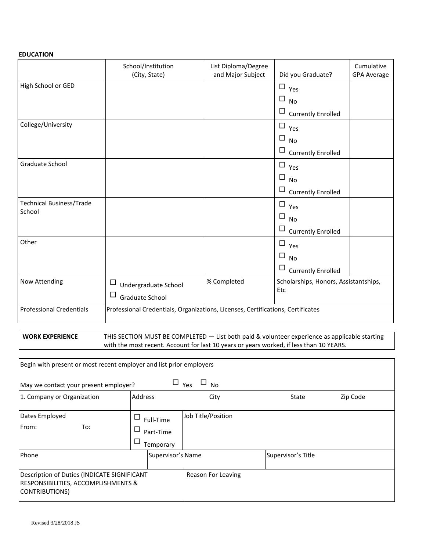## **EDUCATION**

|                                 | School/Institution<br>(City, State)                                             | List Diploma/Degree<br>and Major Subject             | Did you Graduate?                   | Cumulative<br><b>GPA Average</b> |
|---------------------------------|---------------------------------------------------------------------------------|------------------------------------------------------|-------------------------------------|----------------------------------|
| High School or GED              |                                                                                 |                                                      | $\square$ Yes                       |                                  |
|                                 |                                                                                 |                                                      | $\Box$<br><b>No</b>                 |                                  |
|                                 |                                                                                 |                                                      | $\Box$<br><b>Currently Enrolled</b> |                                  |
| College/University              |                                                                                 |                                                      | $\Box$<br>Yes                       |                                  |
|                                 |                                                                                 |                                                      | $\Box$<br><b>No</b>                 |                                  |
|                                 |                                                                                 |                                                      | $\Box$<br><b>Currently Enrolled</b> |                                  |
| <b>Graduate School</b>          |                                                                                 |                                                      | $\Box$<br>Yes                       |                                  |
|                                 |                                                                                 |                                                      | $\Box$<br><b>No</b>                 |                                  |
|                                 |                                                                                 |                                                      | $\Box$<br><b>Currently Enrolled</b> |                                  |
| Technical Business/Trade        |                                                                                 |                                                      | $\Box$<br>Yes                       |                                  |
| School                          |                                                                                 |                                                      | $\Box$<br><b>No</b>                 |                                  |
|                                 |                                                                                 |                                                      | $\Box$<br><b>Currently Enrolled</b> |                                  |
| Other                           |                                                                                 |                                                      | $\Box$<br>Yes                       |                                  |
|                                 |                                                                                 |                                                      | $\Box$<br><b>No</b>                 |                                  |
|                                 |                                                                                 |                                                      | $\Box$<br><b>Currently Enrolled</b> |                                  |
| Now Attending                   | $\Box$<br>Undergraduate School                                                  | % Completed<br>Scholarships, Honors, Assistantships, |                                     |                                  |
|                                 | $\Box$<br>Graduate School                                                       |                                                      | Etc                                 |                                  |
| <b>Professional Credentials</b> | Professional Credentials, Organizations, Licenses, Certifications, Certificates |                                                      |                                     |                                  |

| <b>WORK EXPERIENCE</b> | THIS SECTION MUST BE COMPLETED $-$ List both paid & volunteer experience as applicable starting |
|------------------------|-------------------------------------------------------------------------------------------------|
|                        | with the most recent. Account for last 10 years or years worked, if less than 10 YEARS.         |

| Begin with present or most recent employer and list prior employers                                  |                        |                    |                    |          |  |
|------------------------------------------------------------------------------------------------------|------------------------|--------------------|--------------------|----------|--|
| $\Box$ Yes<br>$\square$ No<br>May we contact your present employer?                                  |                        |                    |                    |          |  |
| 1. Company or Organization                                                                           | <b>Address</b>         | City               | State              | Zip Code |  |
| Dates Employed<br>From:<br>To:                                                                       | Full-Time<br>Part-Time | Job Title/Position |                    |          |  |
|                                                                                                      | Temporary              |                    |                    |          |  |
| Phone                                                                                                | Supervisor's Name      |                    | Supervisor's Title |          |  |
| Description of Duties (INDICATE SIGNIFICANT<br>RESPONSIBILITIES, ACCOMPLISHMENTS &<br>CONTRIBUTIONS) |                        | Reason For Leaving |                    |          |  |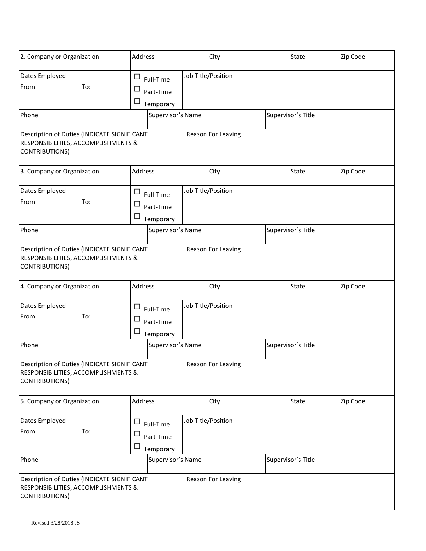| 2. Company or Organization                                                                                  | <b>Address</b>                                               | City               | State              | Zip Code |
|-------------------------------------------------------------------------------------------------------------|--------------------------------------------------------------|--------------------|--------------------|----------|
| Dates Employed<br>From:<br>To:                                                                              | ட<br>Full-Time<br>$\Box$<br>Part-Time<br>□<br>Temporary      | Job Title/Position |                    |          |
| Phone                                                                                                       | Supervisor's Name                                            |                    | Supervisor's Title |          |
| Description of Duties (INDICATE SIGNIFICANT<br>RESPONSIBILITIES, ACCOMPLISHMENTS &<br><b>CONTRIBUTIONS)</b> |                                                              | Reason For Leaving |                    |          |
| 3. Company or Organization                                                                                  | <b>Address</b>                                               | City               | State              | Zip Code |
| Dates Employed<br>From:<br>To:                                                                              | $\Box$<br>Full-Time<br>$\Box$<br>Part-Time<br>Ц<br>Temporary | Job Title/Position |                    |          |
| Phone                                                                                                       | Supervisor's Name                                            |                    | Supervisor's Title |          |
| Description of Duties (INDICATE SIGNIFICANT<br>RESPONSIBILITIES, ACCOMPLISHMENTS &<br><b>CONTRIBUTIONS)</b> |                                                              | Reason For Leaving |                    |          |
| 4. Company or Organization                                                                                  | <b>Address</b>                                               | City               | State              | Zip Code |
| Dates Employed<br>From:<br>To:                                                                              | $\Box$<br>Full-Time<br>ட<br>Part-Time                        | Job Title/Position |                    |          |
|                                                                                                             | □<br>Temporary                                               |                    |                    |          |
| Phone                                                                                                       | Supervisor's Name                                            |                    | Supervisor's Title |          |
| Description of Duties (INDICATE SIGNIFICANT<br>RESPONSIBILITIES, ACCOMPLISHMENTS &<br><b>CONTRIBUTIONS)</b> |                                                              | Reason For Leaving |                    |          |
| 5. Company or Organization                                                                                  | <b>Address</b>                                               | City               | State              | Zip Code |
| Dates Employed<br>From:<br>To:                                                                              | □<br>Full-Time<br>$\Box$<br>Part-Time<br>$\Box$<br>Temporary | Job Title/Position |                    |          |
| Phone                                                                                                       | Supervisor's Name                                            |                    | Supervisor's Title |          |